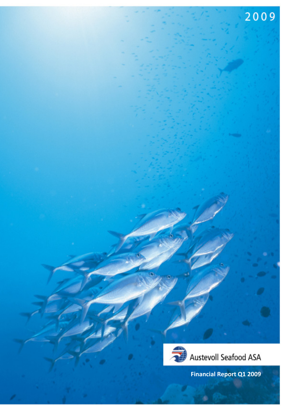



**Financial Report Q1 2009**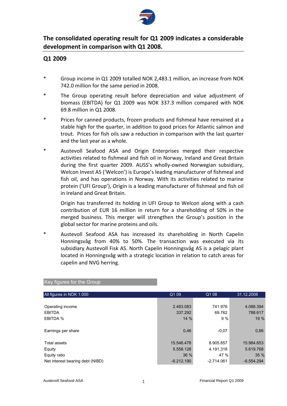

# **The consolidated operating result for Q1 2009 indicates a considerable development in comparison with Q1 2008.**

### **Q1 2009**

- \* Group income in Q1 2009 totalled NOK 2,483.1 million, an increase from NOK 742.0 million for the same period in 2008.
- The Group operating result before depreciation and value adjustment of biomass (EBITDA) for Q1 2009 was NOK 337.3 million compared with NOK 69.8 million in Q1 2008.
- \* Prices for canned products, frozen products and fishmeal have remained at a stable high for the quarter, in addition to good prices for Atlantic salmon and trout. Prices for fish oils saw a reduction in comparison with the last quarter and the last year as a whole.
- Austevoll Seafood ASA and Origin Enterprises merged their respective activities related to fishmeal and fish oil in Norway, Ireland and Great Britain during the first quarter 2009. AUSS's wholly-owned Norwegian subsidiary, Welcon Invest AS ('Welcon') is Europe's leading manufacturer of fishmeal and fish oil, and has operations in Norway. With its activities related to marine protein ('UFI Group'), Origin is a leading manufacturer of fishmeal and fish oil in Ireland and Great Britain.

Origin has transferred its holding in UFI Group to Welcon along with a cash contribution of EUR 16 million in return for a shareholding of 50% in the merged business. This merger will strengthen the Group's position in the global sector for marine proteins and oils.

\* Austevoll Seafood ASA has increased its shareholding in North Capelin Honningsvåg from 40% to 50%. The transaction was executed via its subsidiary Austevoll Fisk AS. North Capelin Honningsvåg AS is a pelagic plant located in Honningsvåg with a strategic location in relation to catch areas for capelin and NVG herring.

| All figures in NOK 1.000         | Q1 09        | Q1 08        | 31.12.2008   |
|----------------------------------|--------------|--------------|--------------|
|                                  |              |              |              |
| Operating income                 | 2.483.083    | 741.976      | 4.088.394    |
| <b>EBITDA</b>                    | 337.292      | 69.762       | 788.617      |
| EBITDA %                         | 14%          | 9%           | 19%          |
|                                  |              |              |              |
| Earnings per share               | 0,46         | $-0.07$      | 0,66         |
|                                  |              |              |              |
| Total assets                     | 15.546.478   | 8.905.857    | 15.984.653   |
| Equity                           | 5.558.128    | 4.191.318    | 5.619.768    |
| Equity ratio                     | 36 %         | 47 %         | 35%          |
| Net interest bearing debt (NIBD) | $-6.212.190$ | $-2.714.061$ | $-6.554.294$ |

Key figures for the Group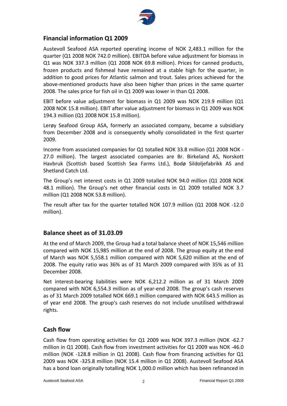

### **Financial information Q1 2009**

Austevoll Seafood ASA reported operating income of NOK 2,483.1 million for the quarter (Q1 2008 NOK 742.0 million). EBITDA before value adjustment for biomass in Q1 was NOK 337.3 million (Q1 2008 NOK 69.8 million). Prices for canned products, frozen products and fishmeal have remained at a stable high for the quarter, in addition to good prices for Atlantic salmon and trout. Sales prices achieved for the above‐mentioned products have also been higher than prices in the same quarter 2008. The sales price for fish oil in Q1 2009 was lower in than Q1 2008.

EBIT before value adjustment for biomass in Q1 2009 was NOK 219.9 million (Q1 2008 NOK 15.8 million). EBIT after value adjustment for biomass in Q1 2009 was NOK 194.3 million (Q1 2008 NOK 15.8 million).

Lerøy Seafood Group ASA, formerly an associated company, became a subsidiary from December 2008 and is consequently wholly consolidated in the first quarter 2009.

Income from associated companies for Q1 totalled NOK 33.8 million (Q1 2008 NOK ‐ 27.0 million). The largest associated companies are Br. Birkeland AS, Norskott Havbruk (Scottish based Scottish Sea Farms Ltd.), Bodø Sildoljefabrikk AS and Shetland Catch Ltd.

The Group's net interest costs in Q1 2009 totalled NOK 94.0 million (Q1 2008 NOK 48.1 million). The Group's net other financial costs in Q1 2009 totalled NOK 3.7 million (Q1 2008 NOK 53.8 million).

The result after tax for the quarter totalled NOK 107.9 million (Q1 2008 NOK ‐12.0 million).

### **Balance sheet as of 31.03.09**

At the end of March 2009, the Group had a total balance sheet of NOK 15,546 million compared with NOK 15,985 million at the end of 2008. The group equity at the end of March was NOK 5,558.1 million compared with NOK 5,620 million at the end of 2008. The equity ratio was 36% as of 31 March 2009 compared with 35% as of 31 December 2008.

Net interest-bearing liabilities were NOK 6,212.2 million as of 31 March 2009 compared with NOK 6,554.3 million as of year‐end 2008. The group's cash reserves as of 31 March 2009 totalled NOK 669.1 million compared with NOK 643.5 million as of year end 2008. The group's cash reserves do not include unutilised withdrawal rights.

### **Cash flow**

Cash flow from operating activities for Q1 2009 was NOK 397.3 million (NOK ‐62.7 million in Q1 2008). Cash flow from investment activities for Q1 2009 was NOK ‐46.0 million (NOK ‐128.8 million in Q1 2008). Cash flow from financing activities for Q1 2009 was NOK ‐325.8 million (NOK 15.4 million in Q1 2008). Austevoll Seafood ASA has a bond loan originally totalling NOK 1,000.0 million which has been refinanced in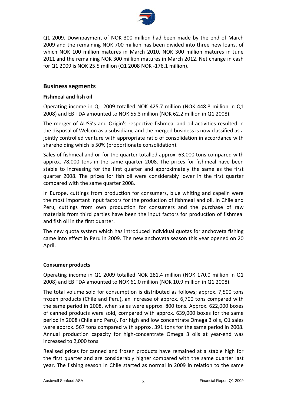

Q1 2009. Downpayment of NOK 300 million had been made by the end of March 2009 and the remaining NOK 700 million has been divided into three new loans, of which NOK 100 million matures in March 2010, NOK 300 million matures in June 2011 and the remaining NOK 300 million matures in March 2012. Net change in cash for Q1 2009 is NOK 25.5 million (Q1 2008 NOK ‐176.1 million).

#### **Business segments**

#### **Fishmeal and fish oil**

Operating income in Q1 2009 totalled NOK 425.7 million (NOK 448.8 million in Q1 2008) and EBITDA amounted to NOK 55.3 million (NOK 62.2 million in Q1 2008).

The merger of AUSS's and Origin's respective fishmeal and oil activities resulted in the disposal of Welcon as a subsidiary, and the merged business is now classified as a jointly controlled venture with appropriate ratio of consolidation in accordance with shareholding which is 50% (proportionate consolidation).

Sales of fishmeal and oil for the quarter totalled approx. 63,000 tons compared with approx. 78,000 tons in the same quarter 2008. The prices for fishmeal have been stable to increasing for the first quarter and approximately the same as the first quarter 2008. The prices for fish oil were considerably lower in the first quarter compared with the same quarter 2008.

In Europe, cuttings from production for consumers, blue whiting and capelin were the most important input factors for the production of fishmeal and oil. In Chile and Peru, cuttings from own production for consumers and the purchase of raw materials from third parties have been the input factors for production of fishmeal and fish oil in the first quarter.

The new quota system which has introduced individual quotas for anchoveta fishing came into effect in Peru in 2009. The new anchoveta season this year opened on 20 April.

#### **Consumer products**

Operating income in Q1 2009 totalled NOK 281.4 million (NOK 170.0 million in Q1 2008) and EBITDA amounted to NOK 61.0 million (NOK 10.9 million in Q1 2008).

The total volume sold for consumption is distributed as follows; approx. 7,500 tons frozen products (Chile and Peru), an increase of approx. 6,700 tons compared with the same period in 2008, when sales were approx. 800 tons. Approx. 622,000 boxes of canned products were sold, compared with approx. 639,000 boxes for the same period in 2008 (Chile and Peru). For high and low concentrate Omega 3 oils, Q1 sales were approx. 567 tons compared with approx. 391 tons for the same period in 2008. Annual production capacity for high‐concentrate Omega 3 oils at year‐end was increased to 2,000 tons.

Realised prices for canned and frozen products have remained at a stable high for the first quarter and are considerably higher compared with the same quarter last year. The fishing season in Chile started as normal in 2009 in relation to the same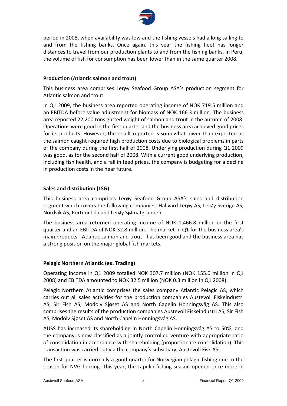

period in 2008, when availability was low and the fishing vessels had a long sailing to and from the fishing banks. Once again, this year the fishing fleet has longer distances to travel from our production plants to and from the fishing banks. In Peru, the volume of fish for consumption has been lower than in the same quarter 2008.

#### **Production (Atlantic salmon and trout)**

This business area comprises Lerøy Seafood Group ASA's production segment for Atlantic salmon and trout.

In Q1 2009, the business area reported operating income of NOK 719.5 million and an EBITDA before value adjustment for biomass of NOK 166.3 million. The business area reported 22,200 tons gutted weight of salmon and trout in the autumn of 2008. Operations were good in the first quarter and the business area achieved good prices for its products. However, the result reported is somewhat lower than expected as the salmon caught required high production costs due to biological problems in parts of the company during the first half of 2008. Underlying production during Q1 2009 was good, as for the second half of 2008. With a current good underlying production, including fish health, and a fall in feed prices, the company is budgeting for a decline in production costs in the near future.

#### **Sales and distribution (LSG)**

This business area comprises Lerøy Seafood Group ASA's sales and distribution segment which covers the following companies: Hallvard Lerøy AS, Lerøy Sverige AS, Nordvik AS, Portnor Lda and Lerøy Sjømatgruppen.

The business area returned operating income of NOK 1,466.8 million in the first quarter and an EBITDA of NOK 32.8 million. The market in Q1 for the business area's main products ‐ Atlantic salmon and trout ‐ has been good and the business area has a strong position on the major global fish markets.

#### **Pelagic Northern Atlantic (ex. Trading)**

Operating income in Q1 2009 totalled NOK 307.7 million (NOK 155.0 million in Q1 2008) and EBITDA amounted to NOK 32.5 million (NOK 0.3 million in Q1 2008).

Pelagic Northern Atlantic comprises the sales company Atlantic Pelagic AS, which carries out all sales activities for the production companies Austevoll Fiskeindustri AS, Sir Fish AS, Modolv Sjøset AS and North Capelin Honningsvåg AS. This also comprises the results of the production companies Austevoll Fiskeindustri AS, Sir Fish AS, Modolv Sjøset AS and North Capelin Honningsvåg AS.

AUSS has increased its shareholding in North Capelin Honningsvåg AS to 50%, and the company is now classified as a jointly controlled venture with appropriate ratio of consolidation in accordance with shareholding (proportionate consolidation). This transaction was carried out via the company's subsidiary, Austevoll Fisk AS.

The first quarter is normally a good quarter for Norwegian pelagic fishing due to the season for NVG herring. This year, the capelin fishing season opened once more in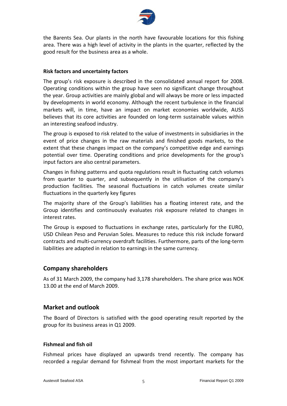

the Barents Sea. Our plants in the north have favourable locations for this fishing area. There was a high level of activity in the plants in the quarter, reflected by the good result for the business area as a whole.

#### **Risk factors and uncertainty factors**

The group's risk exposure is described in the consolidated annual report for 2008. Operating conditions within the group have seen no significant change throughout the year. Group activities are mainly global and will always be more or less impacted by developments in world economy. Although the recent turbulence in the financial markets will, in time, have an impact on market economies worldwide, AUSS believes that its core activities are founded on long-term sustainable values within an interesting seafood industry.

The group is exposed to risk related to the value of investments in subsidiaries in the event of price changes in the raw materials and finished goods markets, to the extent that these changes impact on the company's competitive edge and earnings potential over time. Operating conditions and price developments for the group's input factors are also central parameters.

Changes in fishing patterns and quota regulations result in fluctuating catch volumes from quarter to quarter, and subsequently in the utilisation of the company's production facilities. The seasonal fluctuations in catch volumes create similar fluctuations in the quarterly key figures

The majority share of the Group's liabilities has a floating interest rate, and the Group identifies and continuously evaluates risk exposure related to changes in interest rates.

The Group is exposed to fluctuations in exchange rates, particularly for the EURO, USD Chilean Peso and Peruvian Soles. Measures to reduce this risk include forward contracts and multi‐currency overdraft facilities. Furthermore, parts of the long‐term liabilities are adapted in relation to earnings in the same currency.

#### **Company shareholders**

As of 31 March 2009, the company had 3,178 shareholders. The share price was NOK 13.00 at the end of March 2009.

#### **Market and outlook**

The Board of Directors is satisfied with the good operating result reported by the group for its business areas in Q1 2009.

#### **Fishmeal and fish oil**

Fishmeal prices have displayed an upwards trend recently. The company has recorded a regular demand for fishmeal from the most important markets for the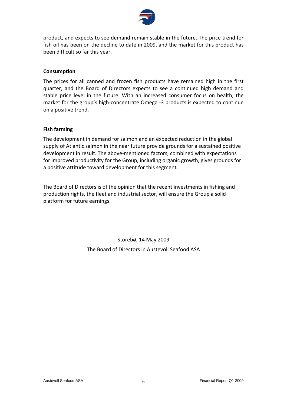

product, and expects to see demand remain stable in the future. The price trend for fish oil has been on the decline to date in 2009, and the market for this product has been difficult so far this year.

#### **Consumption**

The prices for all canned and frozen fish products have remained high in the first quarter, and the Board of Directors expects to see a continued high demand and stable price level in the future. With an increased consumer focus on health, the market for the group's high‐concentrate Omega ‐3 products is expected to continue on a positive trend.

#### **Fish farming**

The development in demand for salmon and an expected reduction in the global supply of Atlantic salmon in the near future provide grounds for a sustained positive development in result. The above‐mentioned factors, combined with expectations for improved productivity for the Group, including organic growth, gives grounds for a positive attitude toward development for this segment.

The Board of Directors is of the opinion that the recent investments in fishing and production rights, the fleet and industrial sector, will ensure the Group a solid platform for future earnings.

> Storebø, 14 May 2009 The Board of Directors in Austevoll Seafood ASA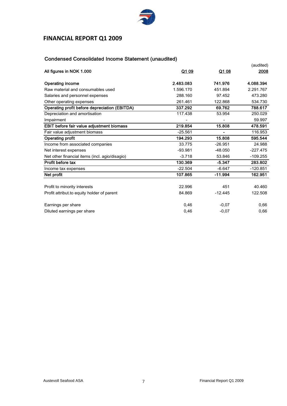

# **FINANCIAL REPORT Q1 2009**

### Condensed Consolidated Income Statement (unaudited)

| All figures in NOK 1.000                       | Q1 09     | Q1 08     | (audited)<br>2008 |
|------------------------------------------------|-----------|-----------|-------------------|
| <b>Operating income</b>                        | 2.483.083 | 741.976   | 4.088.394         |
| Raw material and consumables used              | 1.596.170 | 451.894   | 2.291.767         |
| Salaries and personnel expenses                | 288.160   | 97.452    | 473.280           |
| Other operating expenses                       | 261.461   | 122.868   | 534.730           |
| Operating profit before depreciation (EBITDA)  | 337.292   | 69.762    | 788.617           |
| Depreciation and amortisation                  | 117.438   | 53.954    | 250.029           |
| Impairment                                     |           |           | 59.997            |
| EBIT before fair value adjustment biomass      | 219.854   | 15.808    | 478.591           |
| Fair value adjustment biomass                  | $-25.561$ |           | 116.953           |
| <b>Operating profit</b>                        | 194.293   | 15.808    | 595.544           |
| Income from associated companies               | 33.775    | $-26.951$ | 24.988            |
| Net interest expenses                          | $-93.981$ | $-48.050$ | $-227.475$        |
| Net other financial items (incl. agio/disagio) | $-3.718$  | 53.846    | $-109.255$        |
| Profit before tax                              | 130.369   | $-5.347$  | 283.802           |
| Income tax expenses                            | $-22.504$ | $-6.647$  | $-120.851$        |
| Net profit                                     | 107.865   | $-11.994$ | 162.951           |
|                                                |           |           |                   |
| Profit to minority interests                   | 22.996    | 451       | 40.460            |
| Profit attribut to equity holder of parent     | 84.869    | $-12.445$ | 122.508           |
| Earnings per share                             | 0,46      | $-0,07$   | 0,66              |
| Diluted earnings per share                     | 0,46      | $-0.07$   | 0,66              |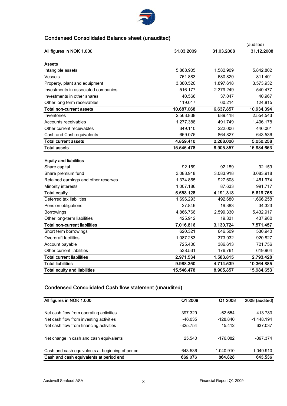

### Condensed Consolidated Balance sheet (unaudited)

|                                      |            |            | (audited)  |
|--------------------------------------|------------|------------|------------|
| All figures in NOK 1.000             | 31.03.2009 | 31.03.2008 | 31.12.2008 |
| <b>Assets</b>                        |            |            |            |
| Intangible assets                    | 5.868.905  | 1.582.909  | 5.842.802  |
| Vessels                              | 761.883    | 680.820    | 811.401    |
| Property, plant and equipment        | 3.380.520  | 1.897.618  | 3.573.932  |
| Investments in associated companies  | 516.177    | 2.379.249  | 540.477    |
| Investments in other shares          | 40.566     | 37.047     | 40.967     |
| Other long term receivables          | 119.017    | 60.214     | 124.815    |
| Total non-current assets             | 10.687.068 | 6.637.857  | 10.934.394 |
| Inventories                          | 2.563.838  | 689.418    | 2.554.543  |
| Accounts receivables                 | 1.277.388  | 491.749    | 1.406.178  |
| Other current receivables            | 349.110    | 222.006    | 446.001    |
| Cash and Cash equivalents            | 669.075    | 864.827    | 643.536    |
| <b>Total current assets</b>          | 4.859.410  | 2.268.000  | 5.050.258  |
| <b>Total assets</b>                  | 15.546.478 | 8.905.857  | 15.984.653 |
| <b>Equity and liabilities</b>        |            |            |            |
| Share capital                        | 92.159     | 92.159     | 92.159     |
| Share premium fund                   | 3.083.918  | 3.083.918  | 3.083.918  |
| Retained earnings and other reserves | 1.374.865  | 927.608    | 1.451.974  |
| Minority interests                   | 1.007.186  | 87.633     | 991.717    |
| <b>Total equity</b>                  | 5.558.128  | 4.191.318  | 5.619.768  |
| Deferred tax liabilities             | 1.696.293  | 492.680    | 1.666.258  |
| Pension obligations                  | 27.846     | 19.383     | 34.323     |
| Borrowings                           | 4.866.766  | 2.599.330  | 5.432.917  |
| Other long-term liabilities          | 425.912    | 19.331     | 437.960    |
| <b>Total non-current liabilities</b> | 7.016.816  | 3.130.724  | 7.571.457  |
| Short term borrowings                | 620.321    | 646.509    | 530.940    |
| Overdraft facilities                 | 1.087.283  | 373.932    | 920.827    |
| Account payable                      | 725.400    | 386.613    | 721.756    |
| Other current liabilities            | 538.531    | 176.761    | 619.904    |
| <b>Total current liabilities</b>     | 2.971.534  | 1.583.815  | 2.793.428  |
| <b>Total liabilities</b>             | 9.988.350  | 4.714.539  | 10.364.885 |
| <b>Total equity and liabilities</b>  | 15.546.478 | 8.905.857  | 15.984.653 |

### Condensed Consolidated Cash flow statement (unaudited)

| All figures in NOK 1.000                         | Q1 2009    | Q1 2008    | 2008 (audited) |
|--------------------------------------------------|------------|------------|----------------|
|                                                  |            |            |                |
| Net cash flow from operating activities          | 397.329    | $-62.654$  | 413.783        |
| Net cash flow from investing activities          | $-46.035$  | $-128.840$ | $-1.448.194$   |
| Net cash flow from financing activities          | $-325.754$ | 15.412     | 637.037        |
| Net change in cash and cash equivalents          | 25.540     | $-176.082$ | $-397.374$     |
| Cash and cash equivalents at beginning of period | 643.536    | 1.040.910  | 1.040.910      |
| Cash and cash equivalents at period end          | 669.076    | 864.828    | 643.536        |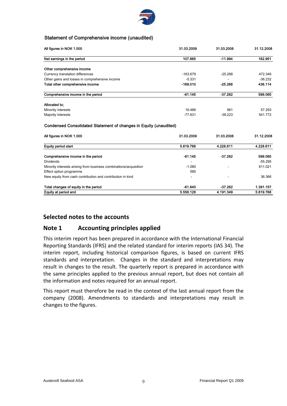

#### Statement of Comprehensive income (unaudited)

| All figures in NOK 1.000                       | 31.03.2009 | 31.03.2008 | 31.12.2008 |
|------------------------------------------------|------------|------------|------------|
| Net earnings in the period                     | 107.865    | $-11.994$  | 162.951    |
| Other comprehensive income                     |            |            |            |
| Currency translation differences               | $-163.679$ | $-25.268$  | 472.346    |
| Other gains and losses in comprehensive income | $-5.331$   | -          | $-36.232$  |
| Total other comprehensive income               | $-169.010$ | $-25.268$  | 436.114    |
| Comprehensive income in the period             | $-61.145$  | $-37.262$  | 599.065    |
| Allocated to:                                  |            |            |            |
| Minority interests                             | 16.486     | 961        | 57.293     |
| Majority interests                             | $-77.631$  | $-38.223$  | 541.772    |

#### Condensed Consolidated Statement of changes in Equity (unaudited)

| All figures in NOK 1.000                                          | 31.03.2009               | 31.03.2008 | 31.12.2008 |
|-------------------------------------------------------------------|--------------------------|------------|------------|
| <b>Equity period start</b>                                        | 5.619.768                | 4.228.611  | 4.228.611  |
| Comprehensive income in the period                                | $-61.145$                | $-37.262$  | 599.065    |
| <b>Dividends</b>                                                  |                          |            | $-55.295$  |
| Minority interests arising from business combinations/acquisition | $-1.080$                 |            | 811.021    |
| Effect option programme                                           | 585                      |            |            |
| New equity from cash contribution and contribution in kind        | $\overline{\phantom{a}}$ |            | 36.366     |
| Total changes of equity in the period                             | -61.640                  | $-37.262$  | 1.391.157  |
| Equity at period end                                              | 5.558.128                | 4 191 349  | 5.619.768  |

### **Selected notes to the accounts**

### **Note 1 Accounting principles applied**

This interim report has been prepared in accordance with the International Financial Reporting Standards (IFRS) and the related standard for interim reports (IAS 34). The interim report, including historical comparison figures, is based on current IFRS standards and interpretation. Changes in the standard and interpretations may result in changes to the result. The quarterly report is prepared in accordance with the same principles applied to the previous annual report, but does not contain all the information and notes required for an annual report.

This report must therefore be read in the context of the last annual report from the company (2008). Amendments to standards and interpretations may result in changes to the figures.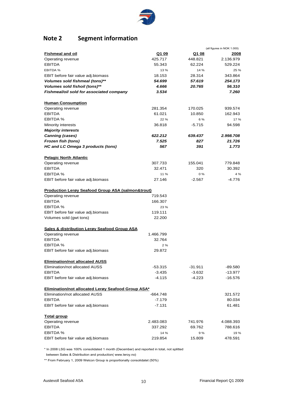

# **Note 2 Segment information**

|                                                              |              |          | (all figures in NOK 1.000) |
|--------------------------------------------------------------|--------------|----------|----------------------------|
| <b>Fishmeal and oil</b>                                      | <u>Q1 09</u> | Q1 08    | 2008                       |
| Operating revenue                                            | 425.717      | 448.821  | 2.136.979                  |
| <b>EBITDA</b>                                                | 55.343       | 62.224   | 529.224                    |
| EBITDA %                                                     | 13 %         | 14 %     | 25 %                       |
| EBIT before fair value adj.biomass                           | 18.153       | 28.314   | 343.864                    |
| Volumes sold fishmeal (tons)**                               | 54.699       | 57.619   | 254.173                    |
| Volumes sold fishoil (tons)**                                | 4.666        | 20.765   | 56.310                     |
| Fishmeal/oil sold for associated company                     | 3.534        |          | 7.260                      |
| <b>Human Consumption</b>                                     |              |          |                            |
| Operating revenue                                            | 281.354      | 170.025  | 939.574                    |
| <b>EBITDA</b>                                                | 61.021       | 10.850   | 162.943                    |
| EBITDA %                                                     | 22 %         | 6 %      | 17 %                       |
| <b>Minority interests</b>                                    | 36.818       | $-5.715$ | 94.598                     |
| <b>Majority interests</b>                                    |              |          |                            |
| <b>Canning (cases)</b>                                       | 622.212      | 639.437  | 2.998.708                  |
| Frozen fish (tons)                                           | 7.525        | 827      | 21.726                     |
| HC and LC Omega 3 products (tons)                            | 567          | 391      | 1.773                      |
| <b>Pelagic North Atlantic</b>                                |              |          |                            |
| Operating revenue                                            | 307.733      | 155.041  | 779.848                    |
| <b>EBITDA</b>                                                | 32.471       | 320      | 30.392                     |
| EBITDA %                                                     | 11 %         | 0%       | 4 %                        |
| EBIT before fair value adj.biomass                           | 27.146       | $-2.567$ | -4.776                     |
| <b>Production Lerøy Seafood Group ASA (salmon&amp;trout)</b> |              |          |                            |
| Operating revenue                                            | 719.543      |          |                            |
| <b>EBITDA</b>                                                | 166.307      |          |                            |
| EBITDA %                                                     | 23 %         |          |                            |
| EBIT before fair value adj.biomass                           | 119.111      |          |                            |
| Volumes sold (gwt tons)                                      | 22.200       |          |                            |
| <b>Sales &amp; distribution Lergy Seafood Group ASA</b>      |              |          |                            |
| Operating revenue                                            | 1.466.799    |          |                            |
| <b>EBITDA</b>                                                | 32.764       |          |                            |
| EBITDA %                                                     | 2%           |          |                            |
| EBIT before fair value adj.biomass                           | 29.872       |          |                            |
| <b>Elimination/not allocated AUSS</b>                        |              |          |                            |
| Elimination/not allocated AUSS                               | -53.315      | -31.911  | -89.580                    |
| <b>EBITDA</b>                                                | $-3.435$     | $-3.632$ | $-13.977$                  |
| EBIT before fair value adj.biomass                           | $-4.115$     | -4.223   | -16.576                    |
| Elimination/not allocated Lerøy Seafood Group ASA*           |              |          |                            |
| Elimination/not allocated AUSS                               | -664.748     |          | 321.572                    |
| <b>EBITDA</b>                                                | $-7.179$     |          | 80.034                     |
| EBIT before fair value adj.biomass                           | $-7.131$     |          | 61.481                     |
| <b>Total group</b>                                           |              |          |                            |
| Operating revenue                                            | 2.483.083    | 741.976  | 4.088.393                  |
| <b>EBITDA</b>                                                | 337.292      | 69.762   | 788.616                    |
| EBITDA %                                                     | 14 %         | 9%       | 19%                        |
| EBIT before fair value adj.biomass                           | 219.854      | 15.809   | 478.591                    |

\* In 2008 LSG was 100% consolidated 1 month (December) and reported in total, not splitted

between Sales & Distribution and production( www.leroy.no)

\*\* From February 1, 2009 Welcon Group is proportionally consolidatet (50%)